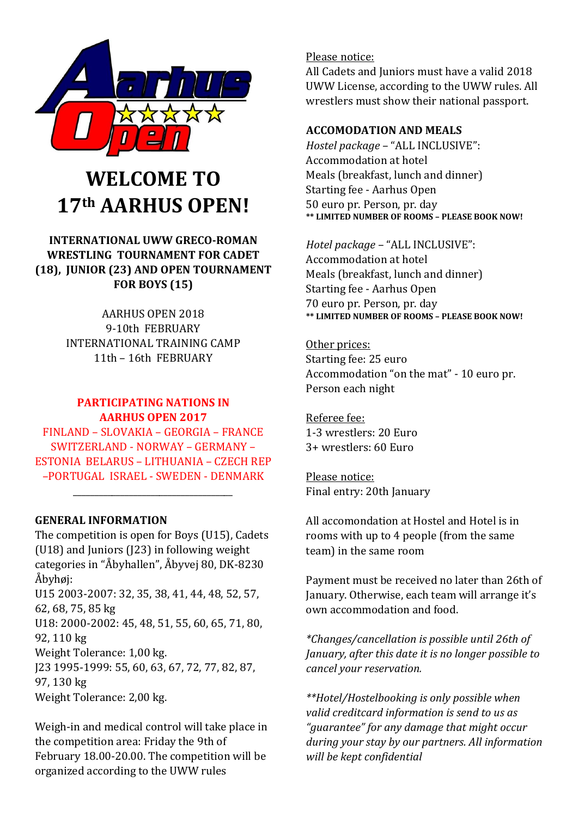

# **WELCOME TO 17th AARHUS OPEN!**

# **INTERNATIONAL UWW GRECO-ROMAN WRESTLING TOURNAMENT FOR CADET (18), JUNIOR (23) AND OPEN TOURNAMENT FOR BOYS (15)**

AARHUS OPEN 2018 9-10th FEBRUARY INTERNATIONAL TRAINING CAMP 11th – 16th FEBRUARY

#### **PARTICIPATING NATIONS IN AARHUS OPEN 2017**

FINLAND – SLOVAKIA – GEORGIA – FRANCE SWITZERLAND - NORWAY – GERMANY – ESTONIA BELARUS – LITHUANIA – CZECH REP –PORTUGAL ISRAEL - SWEDEN - DENMARK

\_\_\_\_\_\_\_\_\_\_\_\_\_\_\_\_\_\_\_\_\_\_\_\_\_\_\_\_\_\_\_\_\_\_\_\_\_

#### **GENERAL INFORMATION**

The competition is open for Boys (U15), Cadets (U18) and Juniors (J23) in following weight categories in "Åbyhallen", Åbyvej 80, DK-8230 Åbyhøj: U15 2003-2007: 32, 35, 38, 41, 44, 48, 52, 57, 62, 68, 75, 85 kg U18: 2000-2002: 45, 48, 51, 55, 60, 65, 71, 80, 92, 110 kg Weight Tolerance: 1,00 kg. J23 1995-1999: 55, 60, 63, 67, 72, 77, 82, 87, 97, 130 kg Weight Tolerance: 2,00 kg.

Weigh-in and medical control will take place in the competition area: Friday the 9th of February 18.00-20.00. The competition will be organized according to the UWW rules

#### Please notice:

All Cadets and Juniors must have a valid 2018 UWW License, according to the UWW rules. All wrestlers must show their national passport.

#### **ACCOMODATION AND MEALS**

*Hostel package* – "ALL INCLUSIVE": Accommodation at hotel Meals (breakfast, lunch and dinner) Starting fee - Aarhus Open 50 euro pr. Person, pr. day **\*\* LIMITED NUMBER OF ROOMS – PLEASE BOOK NOW!**

*Hotel package* – "ALL INCLUSIVE": Accommodation at hotel Meals (breakfast, lunch and dinner) Starting fee - Aarhus Open 70 euro pr. Person, pr. day **\*\* LIMITED NUMBER OF ROOMS – PLEASE BOOK NOW!**

Other prices: Starting fee: 25 euro Accommodation "on the mat" - 10 euro pr. Person each night

Referee fee: 1-3 wrestlers: 20 Euro 3+ wrestlers: 60 Euro

Please notice: Final entry: 20th January

All accomondation at Hostel and Hotel is in rooms with up to 4 people (from the same team) in the same room

Payment must be received no later than 26th of January. Otherwise, each team will arrange it's own accommodation and food.

*\*Changes/cancellation is possible until 26th of January, after this date it is no longer possible to cancel your reservation.* 

*\*\*Hotel/Hostelbooking is only possible when valid creditcard information is send to us as "guarantee" for any damage that might occur during your stay by our partners. All information will be kept confidential*